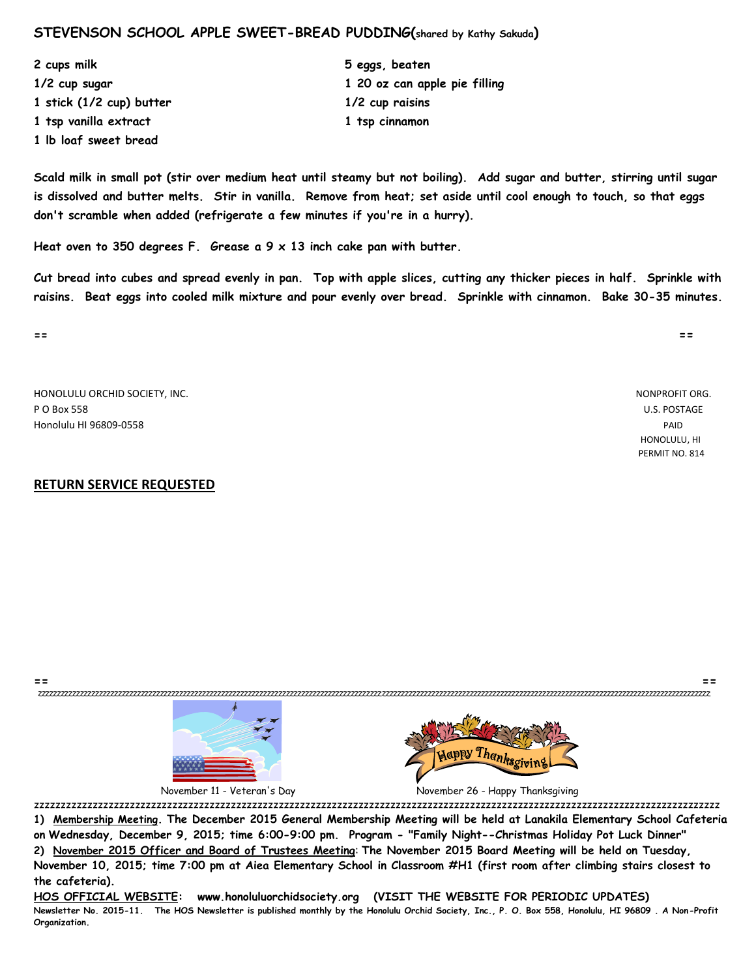### **STEVENSON SCHOOL APPLE SWEET-BREAD PUDDING(shared by Kathy Sakuda)**

**2 cups milk 5 eggs, beaten 1/2 cup sugar 1 20 oz can apple pie filling 1 stick (1/2 cup) butter 1/2 cup raisins 1 tsp vanilla extract 1 tsp cinnamon 1 lb loaf sweet bread**

**Scald milk in small pot (stir over medium heat until steamy but not boiling). Add sugar and butter, stirring until sugar is dissolved and butter melts. Stir in vanilla. Remove from heat; set aside until cool enough to touch, so that eggs don't scramble when added (refrigerate a few minutes if you're in a hurry).**

**Heat oven to 350 degrees F. Grease a 9 x 13 inch cake pan with butter.**

**Cut bread into cubes and spread evenly in pan. Top with apple slices, cutting any thicker pieces in half. Sprinkle with raisins. Beat eggs into cooled milk mixture and pour evenly over bread. Sprinkle with cinnamon. Bake 30-35 minutes.**

HONOLULU ORCHID SOCIETY, INC. NONPROFIT ORG. P O Box 558 U.S. POSTAGE Honolulu HI 96809-0558 PAID

#### **RETURN SERVICE REQUESTED**



November 11 - Veteran's Day November 26 - Happy Thanksgiving

zzzzzzzzzzzzzzzzzzzzzzzzzzzzzzzzzzzzzzzzzzzzzzzzzzzzzzzzzzzzzzzzzzzzzzzzzzzzzzzzzzzzzzzzzzzzzzzzzzzzzzzzzzzzzzzzzzzzzzzzzzzzzzzzz **1) Membership Meeting. The December 2015 General Membership Meeting will be held at Lanakila Elementary School Cafeteria on Wednesday, December 9, 2015; time 6:00-9:00 pm. Program - "Family Night--Christmas Holiday Pot Luck Dinner" 2) November 2015 Officer and Board of Trustees Meeting**: **The November 2015 Board Meeting will be held on Tuesday,** 

**== ==** zzzzzzzzzzzzzzzzzzzzzzzzzzzzzzzzzzzzzzzzzzzzzzzzzzzzzzzzzzzzzzzzzzzzzzzzzzzzzzzzzzzzzzzzzzzzzzzzzzzzzzzzzzzzzzzzzzzzzzzzzzzzzzzzzzzzzzzzzzzzzzzzzzzzzzzzzzzzzzzzzzzzzzzzzzzzzzzz

**November 10, 2015; time 7:00 pm at Aiea Elementary School in Classroom #H1 (first room after climbing stairs closest to the cafeteria).** 

**HOS OFFICIAL WEBSITE: www.honoluluorchidsociety.org (VISIT THE WEBSITE FOR PERIODIC UPDATES) Newsletter No. 2015-11. The HOS Newsletter is published monthly by the Honolulu Orchid Society, Inc., P. O. Box 558, Honolulu, HI 96809 . A Non-Profit Organization.** 

**== ==**

 HONOLULU, HI PERMIT NO. 814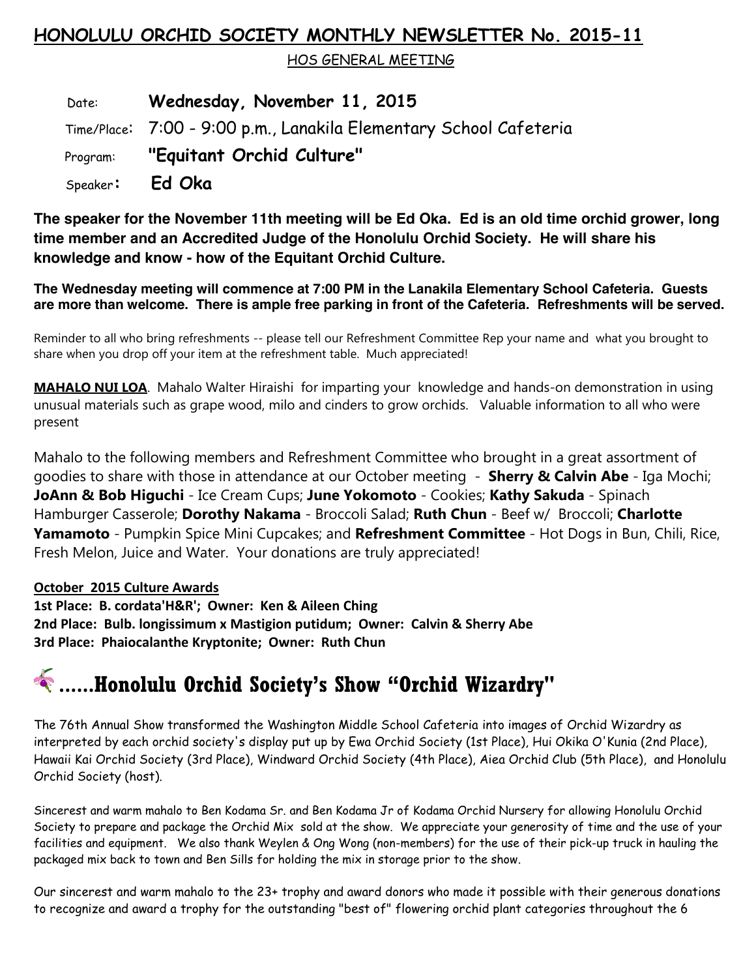## **HONOLULU ORCHID SOCIETY MONTHLY NEWSLETTER No. 2015-11**

HOS GENERAL MEETING

 Date: **Wednesday, November 11, 2015** Time/Place: 7:00 - 9:00 p.m., Lanakila Elementary School Cafeteria Program: **"Equitant Orchid Culture"** Speaker**: Ed Oka**

**The speaker for the November 11th meeting will be Ed Oka. Ed is an old time orchid grower, long time member and an Accredited Judge of the Honolulu Orchid Society. He will share his knowledge and know - how of the Equitant Orchid Culture.**

**The Wednesday meeting will commence at 7:00 PM in the Lanakila Elementary School Cafeteria. Guests are more than welcome. There is ample free parking in front of the Cafeteria. Refreshments will be served.**

Reminder to all who bring refreshments -- please tell our Refreshment Committee Rep your name and what you brought to share when you drop off your item at the refreshment table. Much appreciated!

**MAHALO NUI LOA**. Mahalo Walter Hiraishi for imparting your knowledge and hands-on demonstration in using unusual materials such as grape wood, milo and cinders to grow orchids. Valuable information to all who were present

Mahalo to the following members and Refreshment Committee who brought in a great assortment of goodies to share with those in attendance at our October meeting - **Sherry & Calvin Abe** - Iga Mochi; **JoAnn & Bob Higuchi** - Ice Cream Cups; **June Yokomoto** - Cookies; **Kathy Sakuda** - Spinach Hamburger Casserole; **Dorothy Nakama** - Broccoli Salad; **Ruth Chun** - Beef w/ Broccoli; **Charlotte Yamamoto** - Pumpkin Spice Mini Cupcakes; and **Refreshment Committee** - Hot Dogs in Bun, Chili, Rice, Fresh Melon, Juice and Water. Your donations are truly appreciated!

### **October 2015 Culture Awards**

**1st Place: B. cordata'H&R'; Owner: Ken & Aileen Ching 2nd Place: Bulb. longissimum x Mastigion putidum; Owner: Calvin & Sherry Abe 3rd Place: Phaiocalanthe Kryptonite; Owner: Ruth Chun** 

# **......Honolulu Orchid Society's Show "Orchid Wizardry"**

The 76th Annual Show transformed the Washington Middle School Cafeteria into images of Orchid Wizardry as interpreted by each orchid society's display put up by Ewa Orchid Society (1st Place), Hui Okika O'Kunia (2nd Place), Hawaii Kai Orchid Society (3rd Place), Windward Orchid Society (4th Place), Aiea Orchid Club (5th Place), and Honolulu Orchid Society (host).

Sincerest and warm mahalo to Ben Kodama Sr. and Ben Kodama Jr of Kodama Orchid Nursery for allowing Honolulu Orchid Society to prepare and package the Orchid Mix sold at the show. We appreciate your generosity of time and the use of your facilities and equipment. We also thank Weylen & Ong Wong (non-members) for the use of their pick-up truck in hauling the packaged mix back to town and Ben Sills for holding the mix in storage prior to the show.

Our sincerest and warm mahalo to the 23+ trophy and award donors who made it possible with their generous donations to recognize and award a trophy for the outstanding "best of" flowering orchid plant categories throughout the 6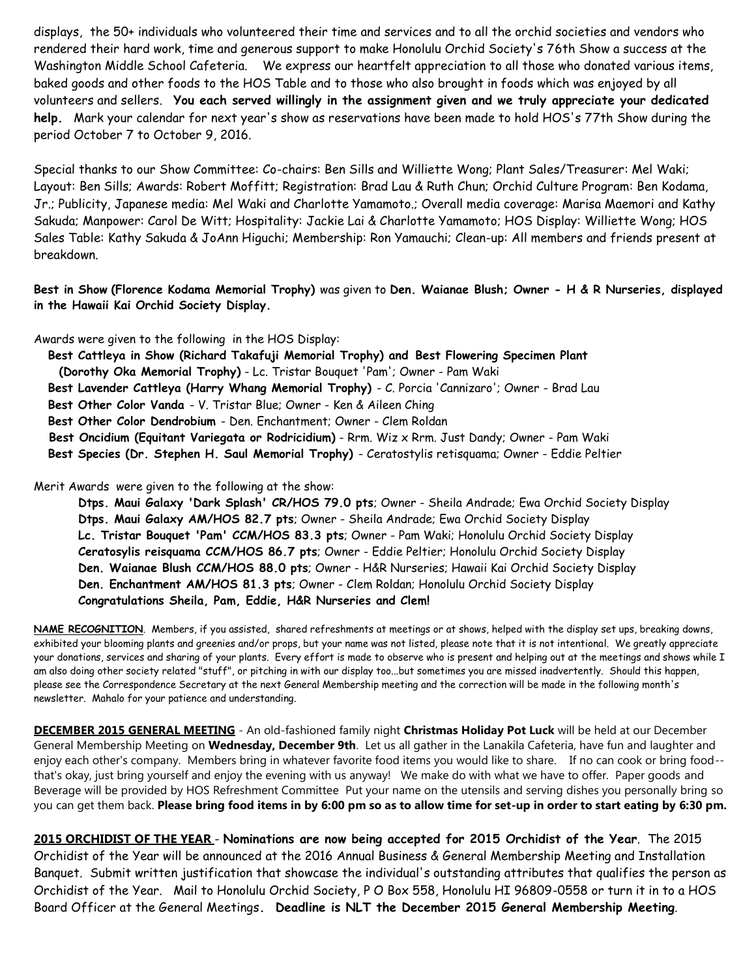displays, the 50+ individuals who volunteered their time and services and to all the orchid societies and vendors who rendered their hard work, time and generous support to make Honolulu Orchid Society's 76th Show a success at the Washington Middle School Cafeteria. We express our heartfelt appreciation to all those who donated various items, baked goods and other foods to the HOS Table and to those who also brought in foods which was enjoyed by all volunteers and sellers. **You each served willingly in the assignment given and we truly appreciate your dedicated help.** Mark your calendar for next year's show as reservations have been made to hold HOS's 77th Show during the period October 7 to October 9, 2016.

Special thanks to our Show Committee: Co-chairs: Ben Sills and Williette Wong; Plant Sales/Treasurer: Mel Waki; Layout: Ben Sills; Awards: Robert Moffitt; Registration: Brad Lau & Ruth Chun; Orchid Culture Program: Ben Kodama, Jr.; Publicity, Japanese media: Mel Waki and Charlotte Yamamoto.; Overall media coverage: Marisa Maemori and Kathy Sakuda; Manpower: Carol De Witt; Hospitality: Jackie Lai & Charlotte Yamamoto; HOS Display: Williette Wong; HOS Sales Table: Kathy Sakuda & JoAnn Higuchi; Membership: Ron Yamauchi; Clean-up: All members and friends present at breakdown.

**Best in Show (Florence Kodama Memorial Trophy)** was given to **Den. Waianae Blush; Owner - H & R Nurseries, displayed in the Hawaii Kai Orchid Society Display.**

Awards were given to the following in the HOS Display:

 **Best Cattleya in Show (Richard Takafuji Memorial Trophy) and Best Flowering Specimen Plant (Dorothy Oka Memorial Trophy)** - Lc. Tristar Bouquet 'Pam'; Owner - Pam Waki **Best Lavender Cattleya (Harry Whang Memorial Trophy)** - C. Porcia 'Cannizaro'; Owner - Brad Lau **Best Other Color Vanda** - V. Tristar Blue; Owner - Ken & Aileen Ching **Best Other Color Dendrobium** - Den. Enchantment; Owner - Clem Roldan  **Best Oncidium (Equitant Variegata or Rodricidium)** - Rrm. Wiz x Rrm. Just Dandy; Owner - Pam Waki **Best Species (Dr. Stephen H. Saul Memorial Trophy)** - Ceratostylis retisquama; Owner - Eddie Peltier

Merit Awards were given to the following at the show:

**Dtps. Maui Galaxy 'Dark Splash' CR/HOS 79.0 pts**; Owner - Sheila Andrade; Ewa Orchid Society Display **Dtps. Maui Galaxy AM/HOS 82.7 pts**; Owner - Sheila Andrade; Ewa Orchid Society Display **Lc. Tristar Bouquet 'Pam' CCM/HOS 83.3 pts**; Owner - Pam Waki; Honolulu Orchid Society Display **Ceratosylis reisquama CCM/HOS 86.7 pts**; Owner - Eddie Peltier; Honolulu Orchid Society Display **Den. Waianae Blush CCM/HOS 88.0 pts**; Owner - H&R Nurseries; Hawaii Kai Orchid Society Display **Den. Enchantment AM/HOS 81.3 pts**; Owner - Clem Roldan; Honolulu Orchid Society Display **Congratulations Sheila, Pam, Eddie, H&R Nurseries and Clem!**

**NAME RECOGNITION**. Members, if you assisted, shared refreshments at meetings or at shows, helped with the display set ups, breaking downs, exhibited your blooming plants and greenies and/or props, but your name was not listed, please note that it is not intentional. We greatly appreciate your donations, services and sharing of your plants. Every effort is made to observe who is present and helping out at the meetings and shows while I am also doing other society related "stuff", or pitching in with our display too...but sometimes you are missed inadvertently. Should this happen, please see the Correspondence Secretary at the next General Membership meeting and the correction will be made in the following month's newsletter. Mahalo for your patience and understanding.

**DECEMBER 2015 GENERAL MEETING** - An old-fashioned family night **Christmas Holiday Pot Luck** will be held at our December General Membership Meeting on **Wednesday, December 9th**. Let us all gather in the Lanakila Cafeteria, have fun and laughter and enjoy each other's company. Members bring in whatever favorite food items you would like to share. If no can cook or bring food- that's okay, just bring yourself and enjoy the evening with us anyway! We make do with what we have to offer. Paper goods and Beverage will be provided by HOS Refreshment Committee Put your name on the utensils and serving dishes you personally bring so you can get them back. **Please bring food items in by 6:00 pm so as to allow time for set-up in order to start eating by 6:30 pm.**

**2015 ORCHIDIST OF THE YEAR** - **Nominations are now being accepted for 2015 Orchidist of the Year**. The 2015 Orchidist of the Year will be announced at the 2016 Annual Business & General Membership Meeting and Installation Banquet. Submit written justification that showcase the individual's outstanding attributes that qualifies the person as Orchidist of the Year. Mail to Honolulu Orchid Society, P O Box 558, Honolulu HI 96809-0558 or turn it in to a HOS Board Officer at the General Meetings**. Deadline is NLT the December 2015 General Membership Meeting**.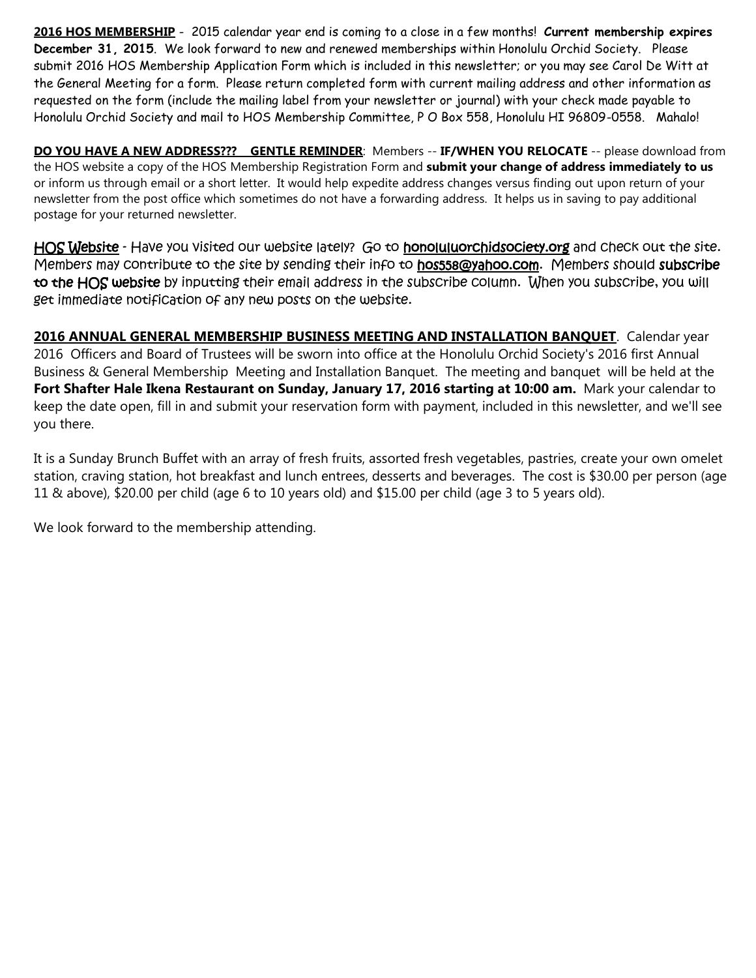**2016 HOS MEMBERSHIP** - 2015 calendar year end is coming to a close in a few months! **Current membership expires December 31, 2015**. We look forward to new and renewed memberships within Honolulu Orchid Society. Please submit 2016 HOS Membership Application Form which is included in this newsletter; or you may see Carol De Witt at the General Meeting for a form. Please return completed form with current mailing address and other information as requested on the form (include the mailing label from your newsletter or journal) with your check made payable to Honolulu Orchid Society and mail to HOS Membership Committee, P O Box 558, Honolulu HI 96809-0558. Mahalo!

**DO YOU HAVE A NEW ADDRESS??? GENTLE REMINDER**: Members -- **IF/WHEN YOU RELOCATE** -- please download from the HOS website a copy of the HOS Membership Registration Form and **submit your change of address immediately to us** or inform us through email or a short letter. It would help expedite address changes versus finding out upon return of your newsletter from the post office which sometimes do not have a forwarding address. It helps us in saving to pay additional postage for your returned newsletter.

HOS Website - Have you visited our website lately? Go to honoluluorchidsociety.org and check out the site. Members may contribute to the site by sending their info to hos558@yahoo.com. Members should subscribe to the HOS website by inputting their email address in the subscribe column. When you subscribe, you will get immediate notification of any new posts on the website.

**2016 ANNUAL GENERAL MEMBERSHIP BUSINESS MEETING AND INSTALLATION BANQUET**. Calendar year 2016 Officers and Board of Trustees will be sworn into office at the Honolulu Orchid Society's 2016 first Annual Business & General Membership Meeting and Installation Banquet. The meeting and banquet will be held at the **Fort Shafter Hale Ikena Restaurant on Sunday, January 17, 2016 starting at 10:00 am.** Mark your calendar to keep the date open, fill in and submit your reservation form with payment, included in this newsletter, and we'll see you there.

It is a Sunday Brunch Buffet with an array of fresh fruits, assorted fresh vegetables, pastries, create your own omelet station, craving station, hot breakfast and lunch entrees, desserts and beverages. The cost is \$30.00 per person (age 11 & above), \$20.00 per child (age 6 to 10 years old) and \$15.00 per child (age 3 to 5 years old).

We look forward to the membership attending.